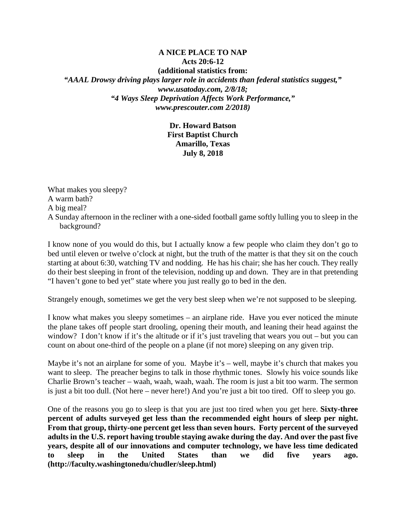## **A NICE PLACE TO NAP Acts 20:6-12 (additional statistics from:** *"AAAL Drowsy driving plays larger role in accidents than federal statistics suggest," www.usatoday.com, 2/8/18; "4 Ways Sleep Deprivation Affects Work Performance," www.prescouter.com 2/2018)*

**Dr. Howard Batson First Baptist Church Amarillo, Texas July 8, 2018**

What makes you sleepy? A warm bath? A big meal? A Sunday afternoon in the recliner with a one-sided football game softly lulling you to sleep in the background?

I know none of you would do this, but I actually know a few people who claim they don't go to bed until eleven or twelve o'clock at night, but the truth of the matter is that they sit on the couch starting at about 6:30, watching TV and nodding. He has his chair; she has her couch. They really do their best sleeping in front of the television, nodding up and down. They are in that pretending "I haven't gone to bed yet" state where you just really go to bed in the den.

Strangely enough, sometimes we get the very best sleep when we're not supposed to be sleeping.

I know what makes you sleepy sometimes – an airplane ride. Have you ever noticed the minute the plane takes off people start drooling, opening their mouth, and leaning their head against the window? I don't know if it's the altitude or if it's just traveling that wears you out – but you can count on about one-third of the people on a plane (if not more) sleeping on any given trip.

Maybe it's not an airplane for some of you. Maybe it's – well, maybe it's church that makes you want to sleep. The preacher begins to talk in those rhythmic tones. Slowly his voice sounds like Charlie Brown's teacher – waah, waah, waah, waah. The room is just a bit too warm. The sermon is just a bit too dull. (Not here – never here!) And you're just a bit too tired. Off to sleep you go.

One of the reasons you go to sleep is that you are just too tired when you get here. **Sixty-three percent of adults surveyed get less than the recommended eight hours of sleep per night. From that group, thirty-one percent get less than seven hours. Forty percent of the surveyed adults in the U.S. report having trouble staying awake during the day. And over the past five years, despite all of our innovations and computer technology, we have less time dedicated to sleep in the United States than we did five years ago. (http://faculty.washingtonedu/chudler/sleep.html)**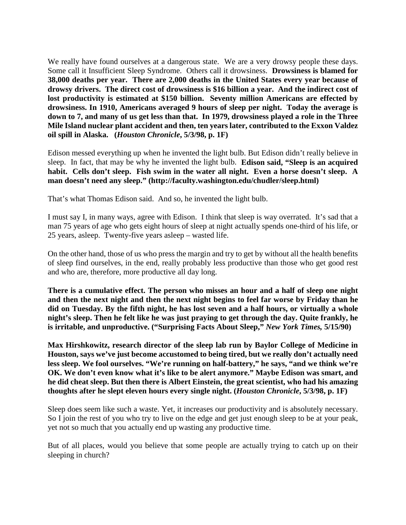We really have found ourselves at a dangerous state. We are a very drowsy people these days. Some call it Insufficient Sleep Syndrome. Others call it drowsiness. **Drowsiness is blamed for 38,000 deaths per year. There are 2,000 deaths in the United States every year because of drowsy drivers. The direct cost of drowsiness is \$16 billion a year. And the indirect cost of lost productivity is estimated at \$150 billion. Seventy million Americans are effected by drowsiness. In 1910, Americans averaged 9 hours of sleep per night. Today the average is down to 7, and many of us get less than that. In 1979, drowsiness played a role in the Three Mile Island nuclear plant accident and then, ten years later, contributed to the Exxon Valdez oil spill in Alaska. (***Houston Chronicle***, 5/3/98, p. 1F)**

Edison messed everything up when he invented the light bulb. But Edison didn't really believe in sleep. In fact, that may be why he invented the light bulb. **Edison said, "Sleep is an acquired habit. Cells don't sleep. Fish swim in the water all night. Even a horse doesn't sleep. A man doesn't need any sleep." (http://faculty.washington.edu/chudler/sleep.html)**

That's what Thomas Edison said. And so, he invented the light bulb.

I must say I, in many ways, agree with Edison. I think that sleep is way overrated. It's sad that a man 75 years of age who gets eight hours of sleep at night actually spends one-third of his life, or 25 years, asleep. Twenty-five years asleep – wasted life.

On the other hand, those of us who press the margin and try to get by without all the health benefits of sleep find ourselves, in the end, really probably less productive than those who get good rest and who are, therefore, more productive all day long.

**There is a cumulative effect. The person who misses an hour and a half of sleep one night and then the next night and then the next night begins to feel far worse by Friday than he did on Tuesday. By the fifth night, he has lost seven and a half hours, or virtually a whole night's sleep. Then he felt like he was just praying to get through the day. Quite frankly, he is irritable, and unproductive. ("Surprising Facts About Sleep,"** *New York Times,* **5/15/90)**

**Max Hirshkowitz, research director of the sleep lab run by Baylor College of Medicine in Houston, says we've just become accustomed to being tired, but we really don't actually need less sleep. We fool ourselves. "We're running on half-battery," he says, "and we think we're OK. We don't even know what it's like to be alert anymore." Maybe Edison was smart, and he did cheat sleep. But then there is Albert Einstein, the great scientist, who had his amazing thoughts after he slept eleven hours every single night. (***Houston Chronicle***, 5/3/98, p. 1F)**

Sleep does seem like such a waste. Yet, it increases our productivity and is absolutely necessary. So I join the rest of you who try to live on the edge and get just enough sleep to be at your peak, yet not so much that you actually end up wasting any productive time.

But of all places, would you believe that some people are actually trying to catch up on their sleeping in church?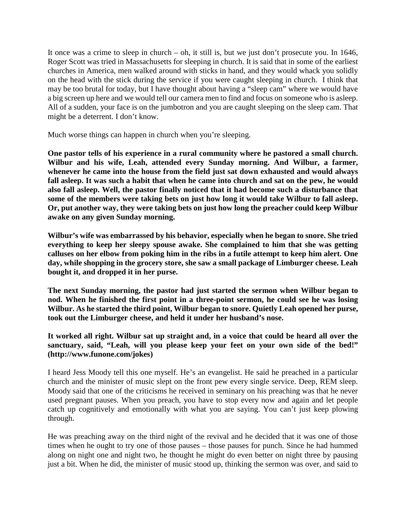It once was a crime to sleep in church – oh, it still is, but we just don't prosecute you. In 1646, Roger Scott was tried in Massachusetts for sleeping in church. It is said that in some of the earliest churches in America, men walked around with sticks in hand, and they would whack you solidly on the head with the stick during the service if you were caught sleeping in church. I think that may be too brutal for today, but I have thought about having a "sleep cam" where we would have a big screen up here and we would tell our camera men to find and focus on someone who is asleep. All of a sudden, your face is on the jumbotron and you are caught sleeping on the sleep cam. That might be a deterrent. I don't know.

Much worse things can happen in church when you're sleeping.

**One pastor tells of his experience in a rural community where he pastored a small church. Wilbur and his wife, Leah, attended every Sunday morning. And Wilbur, a farmer, whenever he came into the house from the field just sat down exhausted and would always**  fall asleep. It was such a habit that when he came into church and sat on the pew, he would **also fall asleep. Well, the pastor finally noticed that it had become such a disturbance that some of the members were taking bets on just how long it would take Wilbur to fall asleep. Or, put another way, they were taking bets on just how long the preacher could keep Wilbur awake on any given Sunday morning.**

**Wilbur's wife was embarrassed by his behavior, especially when he began to snore. She tried everything to keep her sleepy spouse awake. She complained to him that she was getting calluses on her elbow from poking him in the ribs in a futile attempt to keep him alert. One day, while shopping in the grocery store, she saw a small package of Limburger cheese. Leah bought it, and dropped it in her purse.**

**The next Sunday morning, the pastor had just started the sermon when Wilbur began to nod. When he finished the first point in a three-point sermon, he could see he was losing**  Wilbur. As he started the third point, Wilbur began to snore. Quietly Leah opened her purse, **took out the Limburger cheese, and held it under her husband's nose.**

## **It worked all right. Wilbur sat up straight and, in a voice that could be heard all over the**  sanctuary, said, "Leah, will you please keep your feet on your own side of the bed!" **(http://www.funone.com/jokes)**

I heard Jess Moody tell this one myself. He's an evangelist. He said he preached in a particular church and the minister of music slept on the front pew every single service. Deep, REM sleep. Moody said that one of the criticisms he received in seminary on his preaching was that he never used pregnant pauses. When you preach, you have to stop every now and again and let people catch up cognitively and emotionally with what you are saying. You can't just keep plowing through.

He was preaching away on the third night of the revival and he decided that it was one of those times when he ought to try one of those pauses – those pauses for punch. Since he had hummed along on night one and night two, he thought he might do even better on night three by pausing just a bit. When he did, the minister of music stood up, thinking the sermon was over, and said to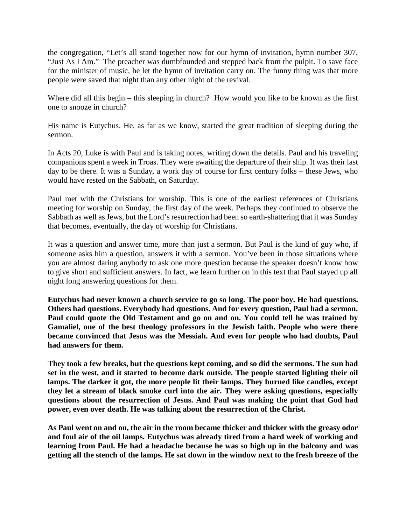the congregation, "Let's all stand together now for our hymn of invitation, hymn number 307, "Just As I Am." The preacher was dumbfounded and stepped back from the pulpit. To save face for the minister of music, he let the hymn of invitation carry on. The funny thing was that more people were saved that night than any other night of the revival.

Where did all this begin – this sleeping in church? How would you like to be known as the first one to snooze in church?

His name is Eutychus. He, as far as we know, started the great tradition of sleeping during the sermon.

In Acts 20, Luke is with Paul and is taking notes, writing down the details. Paul and his traveling companions spent a week in Troas. They were awaiting the departure of their ship. It was their last day to be there. It was a Sunday, a work day of course for first century folks – these Jews, who would have rested on the Sabbath, on Saturday.

Paul met with the Christians for worship. This is one of the earliest references of Christians meeting for worship on Sunday, the first day of the week. Perhaps they continued to observe the Sabbath as well as Jews, but the Lord's resurrection had been so earth-shattering that it was Sunday that becomes, eventually, the day of worship for Christians.

It was a question and answer time, more than just a sermon. But Paul is the kind of guy who, if someone asks him a question, answers it with a sermon. You've been in those situations where you are almost daring anybody to ask one more question because the speaker doesn't know how to give short and sufficient answers. In fact, we learn further on in this text that Paul stayed up all night long answering questions for them.

**Eutychus had never known a church service to go so long. The poor boy. He had questions. Others had questions. Everybody had questions. And for every question, Paul had a sermon. Paul could quote the Old Testament and go on and on. You could tell he was trained by Gamaliel, one of the best theology professors in the Jewish faith. People who were there became convinced that Jesus was the Messiah. And even for people who had doubts, Paul had answers for them.**

**They took a few breaks, but the questions kept coming, and so did the sermons. The sun had set in the west, and it started to become dark outside. The people started lighting their oil**  lamps. The darker it got, the more people lit their lamps. They burned like candles, except **they let a stream of black smoke curl into the air. They were asking questions, especially questions about the resurrection of Jesus. And Paul was making the point that God had power, even over death. He was talking about the resurrection of the Christ.**

**As Paul went on and on, the air in the room became thicker and thicker with the greasy odor and foul air of the oil lamps. Eutychus was already tired from a hard week of working and learning from Paul. He had a headache because he was so high up in the balcony and was getting all the stench of the lamps. He sat down in the window next to the fresh breeze of the**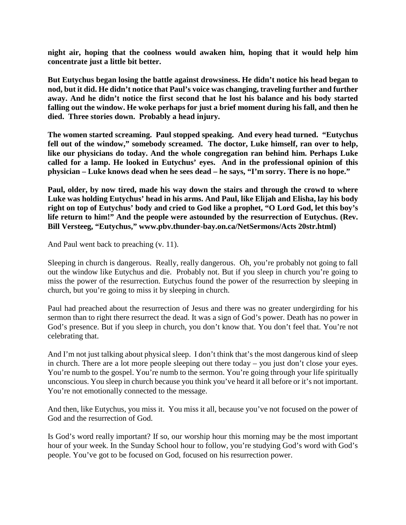**night air, hoping that the coolness would awaken him, hoping that it would help him concentrate just a little bit better.**

**But Eutychus began losing the battle against drowsiness. He didn't notice his head began to nod, but it did. He didn't notice that Paul's voice was changing, traveling further and further away. And he didn't notice the first second that he lost his balance and his body started falling out the window. He woke perhaps for just a brief moment during his fall, and then he died. Three stories down. Probably a head injury.**

**The women started screaming. Paul stopped speaking. And every head turned. "Eutychus**  fell out of the window," somebody screamed. The doctor, Luke himself, ran over to help, **like our physicians do today. And the whole congregation ran behind him. Perhaps Luke called for a lamp. He looked in Eutychus' eyes. And in the professional opinion of this physician – Luke knows dead when he sees dead – he says, "I'm sorry. There is no hope."**

**Paul, older, by now tired, made his way down the stairs and through the crowd to where Luke was holding Eutychus' head in his arms. And Paul, like Elijah and Elisha, lay his body right on top of Eutychus' body and cried to God like a prophet, "O Lord God, let this boy's life return to him!" And the people were astounded by the resurrection of Eutychus. (Rev. Bill Versteeg, "Eutychus," www.pbv.thunder-bay.on.ca/NetSermons/Acts 20str.html)**

And Paul went back to preaching (v. 11).

Sleeping in church is dangerous. Really, really dangerous. Oh, you're probably not going to fall out the window like Eutychus and die. Probably not. But if you sleep in church you're going to miss the power of the resurrection. Eutychus found the power of the resurrection by sleeping in church, but you're going to miss it by sleeping in church.

Paul had preached about the resurrection of Jesus and there was no greater undergirding for his sermon than to right there resurrect the dead. It was a sign of God's power. Death has no power in God's presence. But if you sleep in church, you don't know that. You don't feel that. You're not celebrating that.

And I'm not just talking about physical sleep. I don't think that's the most dangerous kind of sleep in church. There are a lot more people sleeping out there today – you just don't close your eyes. You're numb to the gospel. You're numb to the sermon. You're going through your life spiritually unconscious. You sleep in church because you think you've heard it all before or it's not important. You're not emotionally connected to the message.

And then, like Eutychus, you miss it. You miss it all, because you've not focused on the power of God and the resurrection of God.

Is God's word really important? If so, our worship hour this morning may be the most important hour of your week. In the Sunday School hour to follow, you're studying God's word with God's people. You've got to be focused on God, focused on his resurrection power.